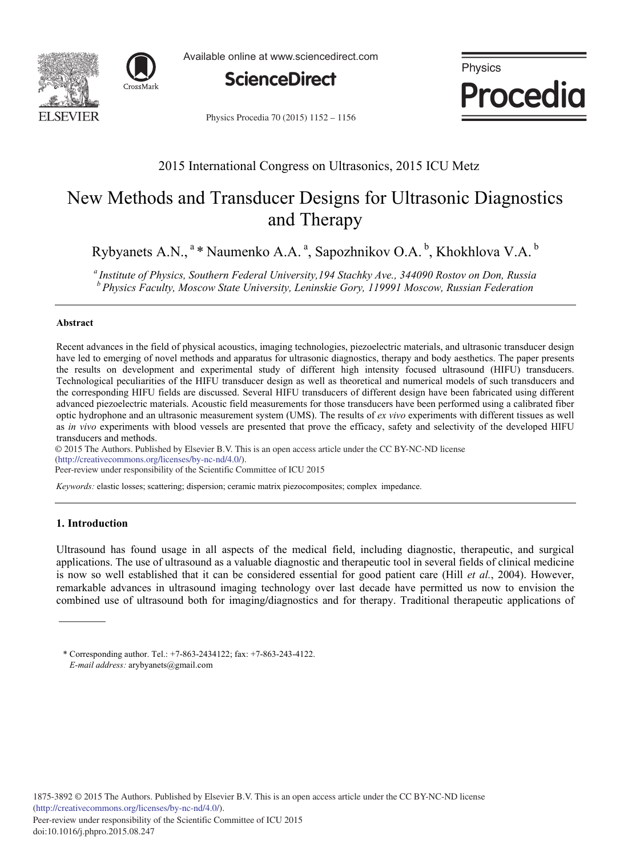



Available online at www.sciencedirect.com



Physics **Procedia** 

Physics Procedia 70 (2015) 1152 - 1156

# 2015 International Congress on Ultrasonics, 2015 ICU Metz

# New Methods and Transducer Designs for Ultrasonic Diagnostics and Therapy

Rybyanets A.N.,  $a^*$  Naumenko A.A.  $a^*$ , Sapozhnikov O.A.  $b^*$ , Khokhlova V.A.  $b^*$ 

*a Institute of Physics, Southern Federal University,194 Stachky Ave., 344090 Rostov on Don, Russia b Physics Faculty, Moscow State University, Leninskie Gory, 119991 Moscow, Russian Federation* 

#### **Abstract**

Recent advances in the field of physical acoustics, imaging technologies, piezoelectric materials, and ultrasonic transducer design have led to emerging of novel methods and apparatus for ultrasonic diagnostics, therapy and body aesthetics. The paper presents the results on development and experimental study of different high intensity focused ultrasound (HIFU) transducers. Technological peculiarities of the HIFU transducer design as well as theoretical and numerical models of such transducers and the corresponding HIFU fields are discussed. Several HIFU transducers of different design have been fabricated using different advanced piezoelectric materials. Acoustic field measurements for those transducers have been performed using a calibrated fiber optic hydrophone and an ultrasonic measurement system (UMS). The results of *ex vivo* experiments with different tissues as well as *in vivo* experiments with blood vessels are presented that prove the efficacy, safety and selectivity of the developed HIFU transducers and methods.

© 2015 The Authors. Published by Elsevier B.V. © 2015 The Authors. Published by Elsevier B.V. This is an open access article under the CC BY-NC-ND license (http://creativecommons.org/licenses/by-nc-nd/4.0/). Peer-review under responsibility of the Scientific Committee of ICU 2015

*Keywords:* elastic losses; scattering; dispersion; ceramic matrix piezocomposites; complex impedance.

## **1. Introduction**

Ultrasound has found usage in all aspects of the medical field, including diagnostic, therapeutic, and surgical applications. The use of ultrasound as a valuable diagnostic and therapeutic tool in several fields of clinical medicine is now so well established that it can be considered essential for good patient care (Hill *et al.*, 2004). However, remarkable advances in ultrasound imaging technology over last decade have permitted us now to envision the combined use of ultrasound both for imaging**/**diagnostics and for therapy. Traditional therapeutic applications of

<sup>\*</sup> Corresponding author. Tel.: +7-863-2434122; fax: +7-863-243-4122. *E-mail address:* arybyanets@gmail.com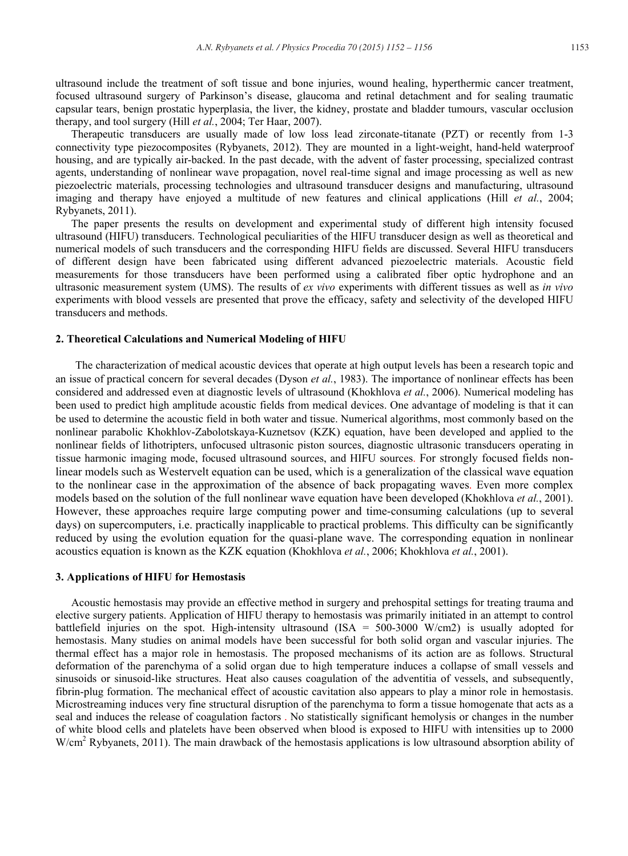ultrasound include the treatment of soft tissue and bone injuries, wound healing, hyperthermic cancer treatment, focused ultrasound surgery of Parkinson's disease, glaucoma and retinal detachment and for sealing traumatic capsular tears, benign prostatic hyperplasia, the liver, the kidney, prostate and bladder tumours, vascular occlusion therapy, and tool surgery (Hill *et al.*, 2004; Ter Haar, 2007).

Therapeutic transducers are usually made of low loss lead zirconate-titanate (PZT) or recently from 1-3 connectivity type piezocomposites (Rybyanets, 2012). They are mounted in a light-weight, hand-held waterproof housing, and are typically air-backed. In the past decade, with the advent of faster processing, specialized contrast agents, understanding of nonlinear wave propagation, novel real-time signal and image processing as well as new piezoelectric materials, processing technologies and ultrasound transducer designs and manufacturing, ultrasound imaging and therapy have enjoyed a multitude of new features and clinical applications (Hill *et al.*, 2004; Rybyanets, 2011).

The paper presents the results on development and experimental study of different high intensity focused ultrasound (HIFU) transducers. Technological peculiarities of the HIFU transducer design as well as theoretical and numerical models of such transducers and the corresponding HIFU fields are discussed. Several HIFU transducers of different design have been fabricated using different advanced piezoelectric materials. Acoustic field measurements for those transducers have been performed using a calibrated fiber optic hydrophone and an ultrasonic measurement system (UMS). The results of *ex vivo* experiments with different tissues as well as *in vivo* experiments with blood vessels are presented that prove the efficacy, safety and selectivity of the developed HIFU transducers and methods.

#### **2. Theoretical Calculations and Numerical Modeling of HIFU**

The characterization of medical acoustic devices that operate at high output levels has been a research topic and an issue of practical concern for several decades (Dyson *et al.*, 1983). The importance of nonlinear effects has been considered and addressed even at diagnostic levels of ultrasound (Khokhlova *et al.*, 2006). Numerical modeling has been used to predict high amplitude acoustic fields from medical devices. One advantage of modeling is that it can be used to determine the acoustic field in both water and tissue. Numerical algorithms, most commonly based on the nonlinear parabolic Khokhlov-Zabolotskaya-Kuznetsov (KZK) equation, have been developed and applied to the nonlinear fields of lithotripters, unfocused ultrasonic piston sources, diagnostic ultrasonic transducers operating in tissue harmonic imaging mode, focused ultrasound sources, and HIFU sources. For strongly focused fields nonlinear models such as Westervelt equation can be used, which is a generalization of the classical wave equation to the nonlinear case in the approximation of the absence of back propagating waves. Even more complex models based on the solution of the full nonlinear wave equation have been developed (Khokhlova *et al.*, 2001). However, these approaches require large computing power and time-consuming calculations (up to several days) on supercomputers, i.e. practically inapplicable to practical problems. This difficulty can be significantly reduced by using the evolution equation for the quasi-plane wave. The corresponding equation in nonlinear acoustics equation is known as the KZK equation (Khokhlova *et al.*, 2006; Khokhlova *et al.*, 2001).

#### **3. Applications of HIFU for Hemostasis**

Acoustic hemostasis may provide an effective method in surgery and prehospital settings for treating trauma and elective surgery patients. Application of HIFU therapy to hemostasis was primarily initiated in an attempt to control battlefield injuries on the spot. High-intensity ultrasound (ISA = 500-3000 W/cm2) is usually adopted for hemostasis. Many studies on animal models have been successful for both solid organ and vascular injuries. The thermal effect has a major role in hemostasis. The proposed mechanisms of its action are as follows. Structural deformation of the parenchyma of a solid organ due to high temperature induces a collapse of small vessels and sinusoids or sinusoid-like structures. Heat also causes coagulation of the adventitia of vessels, and subsequently, fibrin-plug formation. The mechanical effect of acoustic cavitation also appears to play a minor role in hemostasis. Microstreaming induces very fine structural disruption of the parenchyma to form a tissue homogenate that acts as a seal and induces the release of coagulation factors . No statistically significant hemolysis or changes in the number of white blood cells and platelets have been observed when blood is exposed to HIFU with intensities up to 2000 W/cm<sup>2</sup> Rybyanets, 2011). The main drawback of the hemostasis applications is low ultrasound absorption ability of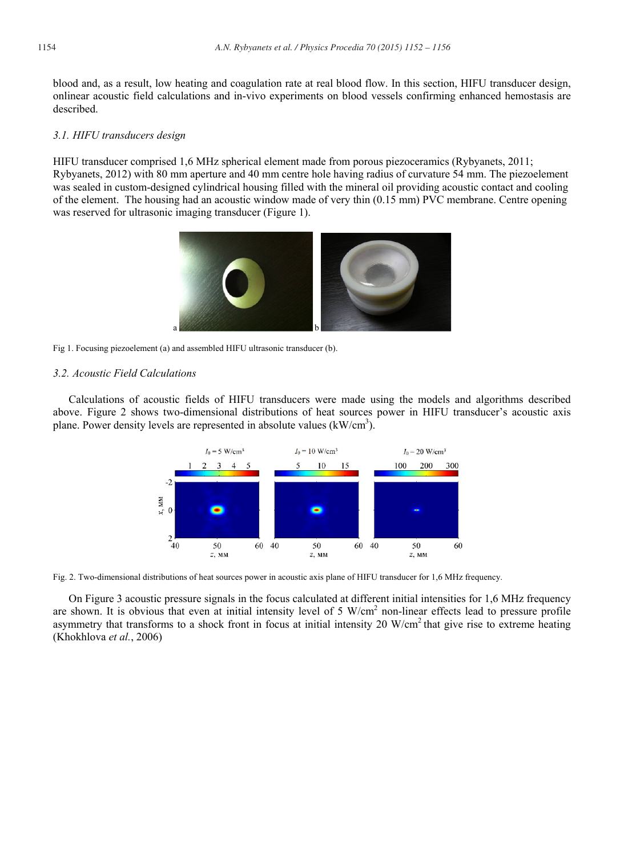blood and, as a result, low heating and coagulation rate at real blood flow. In this section, HIFU transducer design, onlinear acoustic field calculations and in-vivo experiments on blood vessels confirming enhanced hemostasis are described.

# *3.1. HIFU transducers design*

HIFU transducer comprised 1,6 MHz spherical element made from porous piezoceramics (Rybyanets, 2011; Rybyanets, 2012) with 80 mm aperture and 40 mm centre hole having radius of curvature 54 mm. The piezoelement was sealed in custom-designed cylindrical housing filled with the mineral oil providing acoustic contact and cooling of the element. The housing had an acoustic window made of very thin (0.15 mm) PVC membrane. Centre opening was reserved for ultrasonic imaging transducer (Figure 1).



Fig 1. Focusing piezoelement (a) and assembled HIFU ultrasonic transducer (b).

# *3.2. Acoustic Field Calculations*

Calculations of acoustic fields of HIFU transducers were made using the models and algorithms described above. Figure 2 shows two-dimensional distributions of heat sources power in HIFU transducer's acoustic axis plane. Power density levels are represented in absolute values  $(kW/cm<sup>3</sup>)$ .



Fig. 2. Two-dimensional distributions of heat sources power in acoustic axis plane of HIFU transducer for 1,6 MHz frequency.

On Figure 3 acoustic pressure signals in the focus calculated at different initial intensities for 1,6 MHz frequency are shown. It is obvious that even at initial intensity level of 5  $W/cm<sup>2</sup>$  non-linear effects lead to pressure profile asymmetry that transforms to a shock front in focus at initial intensity 20 W/cm<sup>2</sup> that give rise to extreme heating (Khokhlova *et al.*, 2006)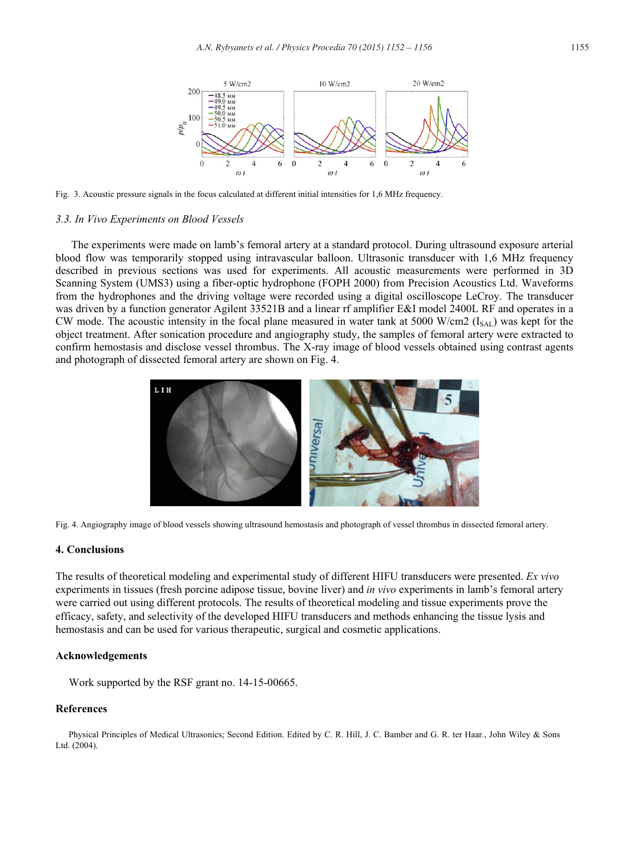

Fig. 3. Acoustic pressure signals in the focus calculated at different initial intensities for 1,6 MHz frequency.

#### *3.3. In Vivo Experiments on Blood Vessels*

The experiments were made on lamb's femoral artery at a standard protocol. During ultrasound exposure arterial blood flow was temporarily stopped using intravascular balloon. Ultrasonic transducer with 1,6 MHz frequency described in previous sections was used for experiments. All acoustic measurements were performed in 3D Scanning System (UMS3) using a fiber-optic hydrophone (FOPH 2000) from Precision Acoustics Ltd. Waveforms from the hydrophones and the driving voltage were recorded using a digital oscilloscope LeCroy. The transducer was driven by a function generator Agilent 33521B and a linear rf amplifier E&I model 2400L RF and operates in a CW mode. The acoustic intensity in the focal plane measured in water tank at 5000 W/cm2 ( $I<sub>SAI</sub>$ ) was kept for the object treatment. After sonication procedure and angiography study, the samples of femoral artery were extracted to confirm hemostasis and disclose vessel thrombus. The X-ray image of blood vessels obtained using contrast agents and photograph of dissected femoral artery are shown on Fig. 4.





## **4. Conclusions**

The results of theoretical modeling and experimental study of different HIFU transducers were presented. *Ex vivo* experiments in tissues (fresh porcine adipose tissue, bovine liver) and *in vivo* experiments in lamb's femoral artery were carried out using different protocols. The results of theoretical modeling and tissue experiments prove the efficacy, safety, and selectivity of the developed HIFU transducers and methods enhancing the tissue lysis and hemostasis and can be used for various therapeutic, surgical and cosmetic applications.

#### **Acknowledgements**

Work supported by the RSF grant no. 14-15-00665.

# **References**

Physical Principles of Medical Ultrasonics; Second Edition. Edited by C. R. Hill, J. C. Bamber and G. R. ter Haar., John Wiley & Sons Ltd. (2004).